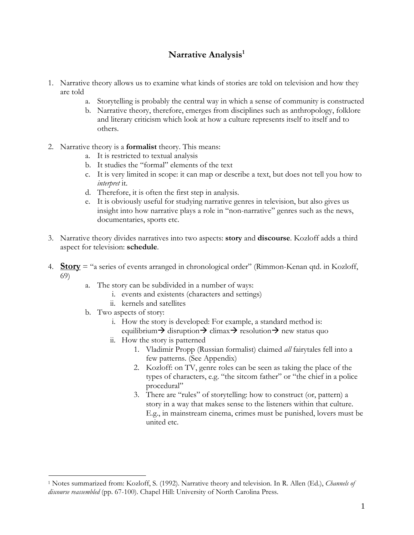# Narrative Analysis<sup>1</sup>

- 1. Narrative theory allows us to examine what kinds of stories are told on television and how they are told
	- a. Storytelling is probably the central way in which a sense of community is constructed
	- b. Narrative theory, therefore, emerges from disciplines such as anthropology, folklore and literary criticism which look at how a culture represents itself to itself and to others.
- 2. Narrative theory is a **formalist** theory. This means:
	- a. It is restricted to textual analysis
	- b. It studies the "formal" elements of the text
	- c. It is very limited in scope: it can map or describe a text, but does not tell you how to *interpret* it.
	- d. Therefore, it is often the first step in analysis.
	- e. It is obviously useful for studying narrative genres in television, but also gives us insight into how narrative plays a role in "non-narrative" genres such as the news, documentaries, sports etc.
- 3. Narrative theory divides narratives into two aspects: **story** and **discourse**. Kozloff adds a third aspect for television: **schedule**.
- 4. **Story** = "a series of events arranged in chronological order" (Rimmon-Kenan qtd. in Kozloff, 69)
	- a. The story can be subdivided in a number of ways:
		- i. events and existents (characters and settings)
		- ii. kernels and satellites
	- b. Two aspects of story:

 $\overline{a}$ 

- i. How the story is developed: For example, a standard method is: equilibrium $\rightarrow$  disruption $\rightarrow$  climax $\rightarrow$  resolution $\rightarrow$  new status quo
- ii. How the story is patterned
	- 1. Vladimir Propp (Russian formalist) claimed *all* fairytales fell into a few patterns. (See Appendix)
	- 2. Kozloff: on TV, genre roles can be seen as taking the place of the types of characters, e.g. "the sitcom father" or "the chief in a police procedural"
	- 3. There are "rules" of storytelling: how to construct (or, pattern) a story in a way that makes sense to the listeners within that culture. E.g., in mainstream cinema, crimes must be punished, lovers must be united etc.

<sup>1</sup> Notes summarized from: Kozloff, S. (1992). Narrative theory and television. In R. Allen (Ed.), *Channels of discourse reassembled* (pp. 67-100). Chapel Hill: University of North Carolina Press.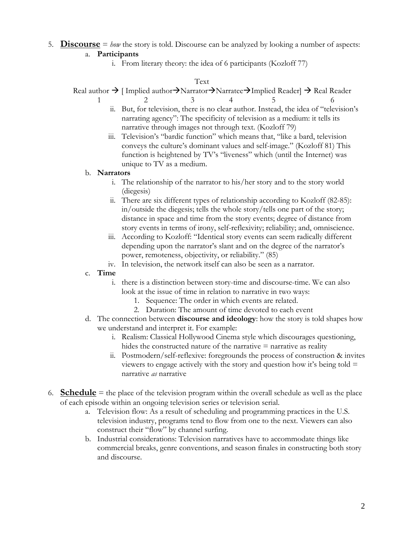# 5. **Discourse** = *how* the story is told. Discourse can be analyzed by looking a number of aspects:

## a. **Participants**

i. From literary theory: the idea of 6 participants (Kozloff 77)

#### Text

Real author  $\rightarrow$  [ Implied author $\rightarrow$ Narrator $\rightarrow$ Narratee $\rightarrow$ Implied Reader]  $\rightarrow$  Real Reader

- 1 2 3 4 5 6 ii. But, for television, there is no clear author. Instead, the idea of "television's narrating agency": The specificity of television as a medium: it tells its narrative through images not through text. (Kozloff 79)
	- iii. Television's "bardic function" which means that, "like a bard, television conveys the culture's dominant values and self-image." (Kozloff 81) This function is heightened by TV's "liveness" which (until the Internet) was unique to TV as a medium.

#### b. **Narrators**

- i. The relationship of the narrator to his/her story and to the story world (diegesis)
- ii. There are six different types of relationship according to Kozloff (82-85): in/outside the diegesis; tells the whole story/tells one part of the story; distance in space and time from the story events; degree of distance from story events in terms of irony, self-reflexivity; reliability; and, omniscience.
- iii. According to Kozloff: "Identical story events can seem radically different depending upon the narrator's slant and on the degree of the narrator's power, remoteness, objectivity, or reliability." (85)
- iv. In television, the network itself can also be seen as a narrator.
- c. **Time**
	- i. there is a distinction between story-time and discourse-time. We can also look at the issue of time in relation to narrative in two ways:
		- 1. Sequence: The order in which events are related.
		- 2. Duration: The amount of time devoted to each event
- d. The connection between **discourse and ideology**: how the story is told shapes how we understand and interpret it. For example:
	- i. Realism: Classical Hollywood Cinema style which discourages questioning, hides the constructed nature of the narrative  $=$  narrative as reality
	- ii. Postmodern/self-reflexive: foregrounds the process of construction & invites viewers to engage actively with the story and question how it's being told  $=$ narrative *as* narrative
- 6. **Schedule** = the place of the television program within the overall schedule as well as the place of each episode within an ongoing television series or television serial.
	- a. Television flow: As a result of scheduling and programming practices in the U.S. television industry, programs tend to flow from one to the next. Viewers can also construct their "flow" by channel surfing.
	- b. Industrial considerations: Television narratives have to accommodate things like commercial breaks, genre conventions, and season finales in constructing both story and discourse.